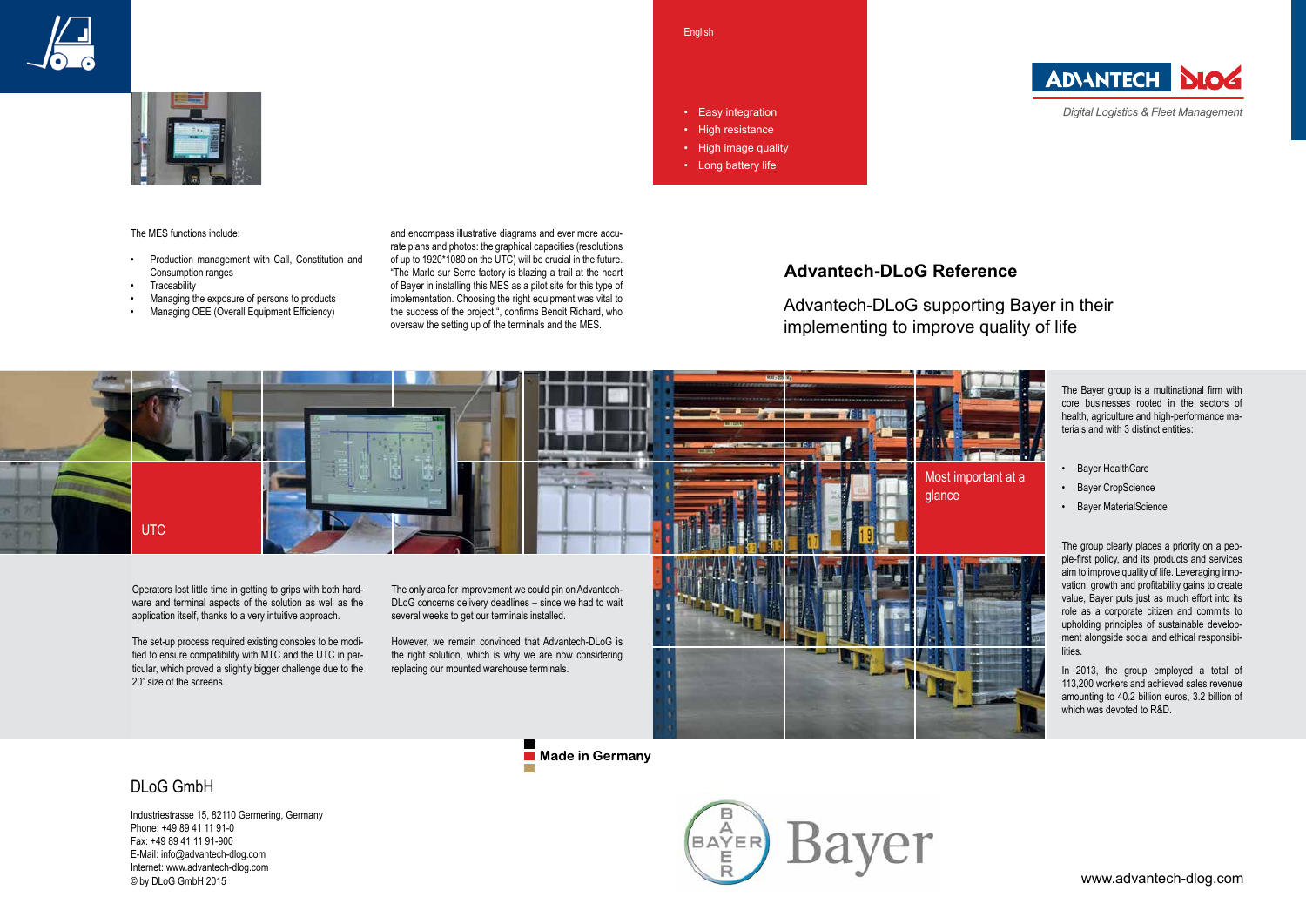The Bayer group is a multinational firm with core businesses rooted in the sectors of health, agriculture and high-performance materials and with 3 distinct entities:

- Bayer HealthCare
- Bayer CropScience
- Bayer MaterialScience

The group clearly places a priority on a people-first policy, and its products and services aim to improve quality of life. Leveraging innovation, growth and profitability gains to create value, Bayer puts just as much effort into its role as a corporate citizen and commits to upholding principles of sustainable development alongside social and ethical responsibilities.

In 2013, the group employed a total of 113,200 workers and achieved sales revenue amounting to 40.2 billion euros, 3.2 billion of which was devoted to R&D.





The MES functions include:

- Production management with Call, Constitution and Consumption ranges
- Traceability
- Managing the exposure of persons to products
- Managing OEE (Overall Equipment Efficiency)



Made in Germany

**English** • Easy integration • High resistance • High image quality

and encompass illustrative diagrams and ever more accurate plans and photos: the graphical capacities (resolutions of up to 1920\*1080 on the UTC) will be crucial in the future. "The Marle sur Serre factory is blazing a trail at the heart of Bayer in installing this MES as a pilot site for this type of implementation. Choosing the right equipment was vital to the success of the project.", confirms Benoit Richard, who oversaw the setting up of the terminals and the MES.

## **Advantech-DLoG Reference**

Advantech-DLoG supporting Bayer in their implementing to improve quality of life

• Long battery life

## DLoG GmbH

Industriestrasse 15, 82110 Germering, Germany Phone: +49 89 41 11 91-0 Fax: +49 89 41 11 91-900 E-Mail: info@advantech-dlog.com Internet: www.advantech-dlog.com © by DLoG GmbH 2015





**Digital Logistics & Fleet Management**